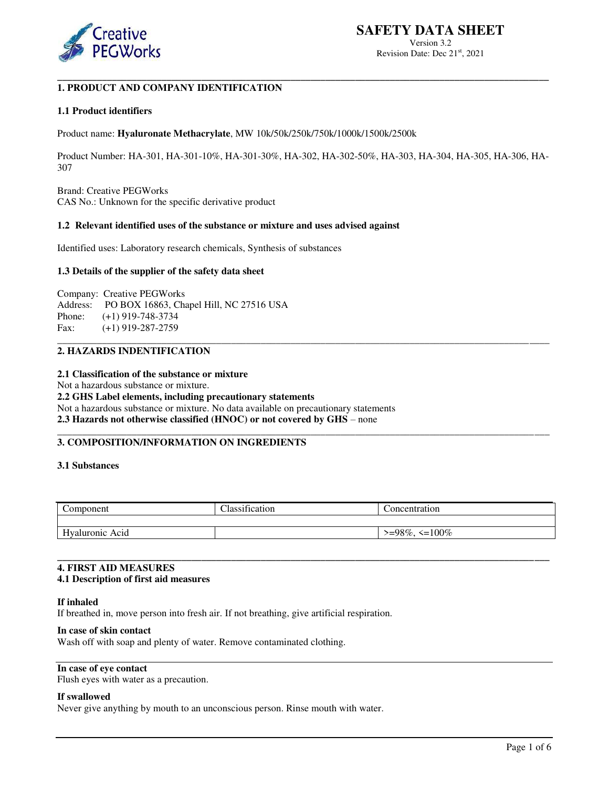

Version 3.2 Revision Date: Dec 21<sup>st</sup>, 2021

#### **\_\_\_\_\_\_\_\_\_\_\_\_\_\_\_\_\_\_\_\_\_\_\_\_\_\_\_\_\_\_\_\_\_\_\_\_\_\_\_\_\_\_\_\_\_\_\_\_\_\_\_\_\_\_\_\_\_\_\_\_\_\_\_\_\_\_\_\_\_\_\_\_\_\_\_\_\_\_\_\_\_\_\_\_\_\_\_\_\_\_\_\_\_\_\_\_\_\_\_ 1. PRODUCT AND COMPANY IDENTIFICATION**

#### **1.1 Product identifiers**

Product name: **Hyaluronate Methacrylate**, MW 10k/50k/250k/750k/1000k/1500k/2500k

Product Number: HA-301, HA-301-10%, HA-301-30%, HA-302, HA-302-50%, HA-303, HA-304, HA-305, HA-306, HA-307

\_\_\_\_\_\_\_\_\_\_\_\_\_\_\_\_\_\_\_\_\_\_\_\_\_\_\_\_\_\_\_\_\_\_\_\_\_\_\_\_\_\_\_\_\_\_\_\_\_\_\_\_\_\_\_\_\_\_\_\_\_\_\_\_\_\_\_\_\_\_\_\_\_\_\_\_\_\_\_\_\_\_\_\_\_\_\_\_\_\_\_\_\_\_\_\_\_\_\_

\_\_\_\_\_\_\_\_\_\_\_\_\_\_\_\_\_\_\_\_\_\_\_\_\_\_\_\_\_\_\_\_\_\_\_\_\_\_\_\_\_\_\_\_\_\_\_\_\_\_\_\_\_\_\_\_\_\_\_\_\_\_\_\_\_\_\_\_\_\_\_\_\_\_\_\_\_\_\_\_\_\_\_\_\_\_\_\_\_\_\_\_\_\_\_\_\_\_\_

Brand: Creative PEGWorks CAS No.: Unknown for the specific derivative product

#### **1.2 Relevant identified uses of the substance or mixture and uses advised against**

Identified uses: Laboratory research chemicals, Synthesis of substances

#### **1.3 Details of the supplier of the safety data sheet**

Company: Creative PEGWorks Address: PO BOX 16863, Chapel Hill, NC 27516 USA Phone: (+1) 919-748-3734 Fax: (+1) 919-287-2759

# **2. HAZARDS INDENTIFICATION**

# **2.1 Classification of the substance or mixture**

Not a hazardous substance or mixture. **2.2 GHS Label elements, including precautionary statements**  Not a hazardous substance or mixture. No data available on precautionary statements **2.3 Hazards not otherwise classified (HNOC) or not covered by GHS** – none

# **3. COMPOSITION/INFORMATION ON INGREDIENTS**

## **3.1 Substances**

| Component          | $\cdot$<br>$\sim$<br>Jassification | concentration             |
|--------------------|------------------------------------|---------------------------|
|                    |                                    |                           |
| Hyaluronic<br>Acid |                                    | $\leq$ 100%<br>$>=98\%$ , |

**\_\_\_\_\_\_\_\_\_\_\_\_\_\_\_\_\_\_\_\_\_\_\_\_\_\_\_\_\_\_\_\_\_\_\_\_\_\_\_\_\_\_\_\_\_\_\_\_\_\_\_\_\_\_\_\_\_\_\_\_\_\_\_\_\_\_\_\_\_\_\_\_\_\_\_\_\_\_\_\_\_\_\_\_\_\_\_\_\_\_\_\_\_\_\_\_\_\_\_**

# **4. FIRST AID MEASURES**

# **4.1 Description of first aid measures**

#### **If inhaled**

If breathed in, move person into fresh air. If not breathing, give artificial respiration.

#### **In case of skin contact**

Wash off with soap and plenty of water. Remove contaminated clothing.

# **In case of eye contact**

Flush eyes with water as a precaution.

### **If swallowed**

Never give anything by mouth to an unconscious person. Rinse mouth with water.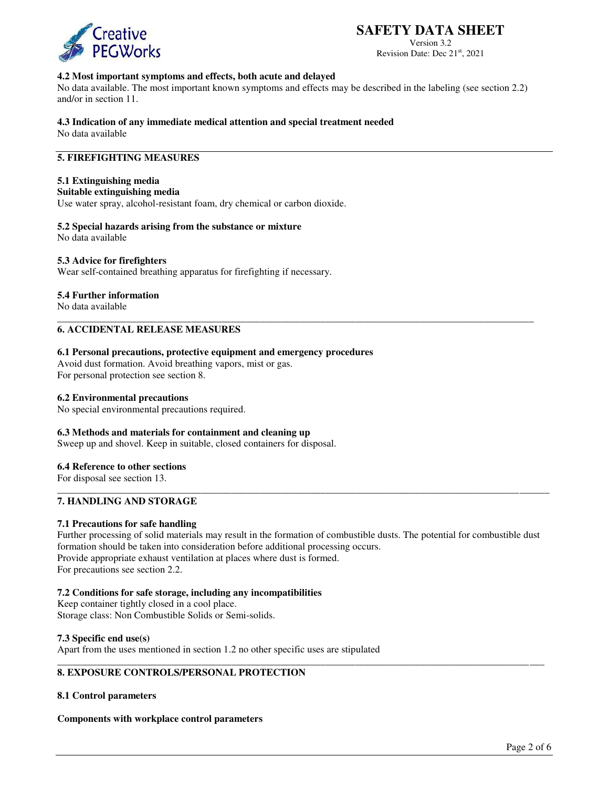

# **SAFETY DATA SHEET**

Version 3.2 Revision Date: Dec 21<sup>st</sup>, 2021

# **4.2 Most important symptoms and effects, both acute and delayed**

No data available. The most important known symptoms and effects may be described in the labeling (see section 2.2) and/or in section 11.

#### **4.3 Indication of any immediate medical attention and special treatment needed**

No data available

# **5. FIREFIGHTING MEASURES**

# **5.1 Extinguishing media**

# **Suitable extinguishing media**

Use water spray, alcohol-resistant foam, dry chemical or carbon dioxide.

#### **5.2 Special hazards arising from the substance or mixture**

No data available

#### **5.3 Advice for firefighters**

Wear self-contained breathing apparatus for firefighting if necessary.

#### **5.4 Further information**

No data available

# **6. ACCIDENTAL RELEASE MEASURES**

#### **6.1 Personal precautions, protective equipment and emergency procedures**

Avoid dust formation. Avoid breathing vapors, mist or gas. For personal protection see section 8.

# **6.2 Environmental precautions**

No special environmental precautions required.

#### **6.3 Methods and materials for containment and cleaning up**

Sweep up and shovel. Keep in suitable, closed containers for disposal.

#### **6.4 Reference to other sections**

For disposal see section 13.

# **7. HANDLING AND STORAGE**

### **7.1 Precautions for safe handling**

Further processing of solid materials may result in the formation of combustible dusts. The potential for combustible dust formation should be taken into consideration before additional processing occurs. Provide appropriate exhaust ventilation at places where dust is formed. For precautions see section 2.2.

\_\_\_\_\_\_\_\_\_\_\_\_\_\_\_\_\_\_\_\_\_\_\_\_\_\_\_\_\_\_\_\_\_\_\_\_\_\_\_\_\_\_\_\_\_\_\_\_\_\_\_\_\_\_\_\_\_\_\_\_\_\_\_\_\_\_\_\_\_\_\_\_\_\_\_\_\_\_\_\_\_\_\_\_\_\_\_\_\_\_\_\_\_\_\_\_\_\_

\_\_\_\_\_\_\_\_\_\_\_\_\_\_\_\_\_\_\_\_\_\_\_\_\_\_\_\_\_\_\_\_\_\_\_\_\_\_\_\_\_\_\_\_\_\_\_\_\_\_\_\_\_\_\_\_\_\_\_\_\_\_\_\_\_\_\_\_\_\_\_\_\_\_\_\_\_\_\_\_\_\_\_\_\_\_\_\_\_\_\_\_\_\_\_\_\_\_\_

\_\_\_\_\_\_\_\_\_\_\_\_\_\_\_\_\_\_\_\_\_\_\_\_\_\_\_\_\_\_\_\_\_\_\_\_\_\_\_\_\_\_\_\_\_\_\_\_\_\_\_\_\_\_\_\_\_\_\_\_\_\_\_\_\_\_\_\_\_\_\_\_\_\_\_\_\_\_\_\_\_\_\_\_\_\_\_\_\_\_\_\_\_\_\_\_

#### **7.2 Conditions for safe storage, including any incompatibilities**

Keep container tightly closed in a cool place. Storage class: Non Combustible Solids or Semi-solids.

#### **7.3 Specific end use(s)**

Apart from the uses mentioned in section 1.2 no other specific uses are stipulated

# **8. EXPOSURE CONTROLS/PERSONAL PROTECTION**

#### **8.1 Control parameters**

**Components with workplace control parameters**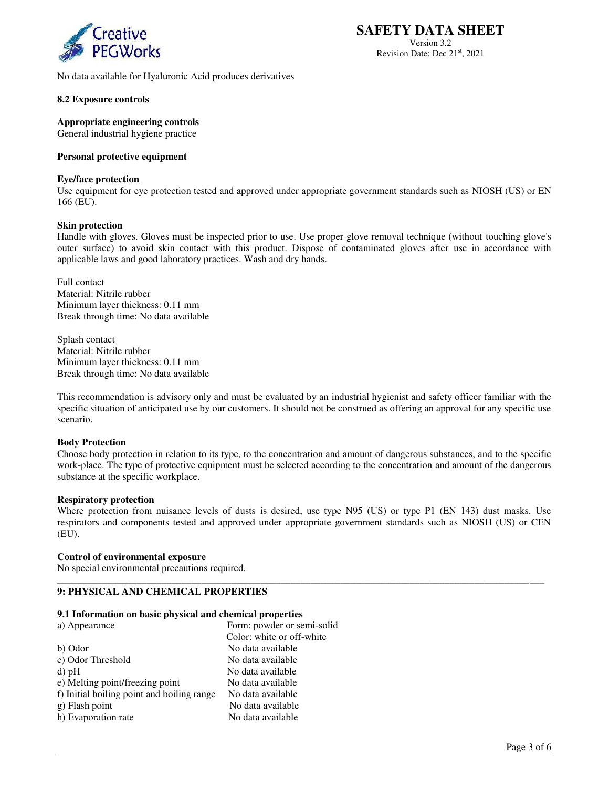

No data available for Hyaluronic Acid produces derivatives

# **8.2 Exposure controls**

**Appropriate engineering controls** 

General industrial hygiene practice

# **Personal protective equipment**

## **Eye/face protection**

Use equipment for eye protection tested and approved under appropriate government standards such as NIOSH (US) or EN 166 (EU).

# **Skin protection**

Handle with gloves. Gloves must be inspected prior to use. Use proper glove removal technique (without touching glove's outer surface) to avoid skin contact with this product. Dispose of contaminated gloves after use in accordance with applicable laws and good laboratory practices. Wash and dry hands.

Full contact Material: Nitrile rubber Minimum layer thickness: 0.11 mm Break through time: No data available

Splash contact Material: Nitrile rubber Minimum layer thickness: 0.11 mm Break through time: No data available

This recommendation is advisory only and must be evaluated by an industrial hygienist and safety officer familiar with the specific situation of anticipated use by our customers. It should not be construed as offering an approval for any specific use scenario.

#### **Body Protection**

Choose body protection in relation to its type, to the concentration and amount of dangerous substances, and to the specific work-place. The type of protective equipment must be selected according to the concentration and amount of the dangerous substance at the specific workplace.

#### **Respiratory protection**

Where protection from nuisance levels of dusts is desired, use type N95 (US) or type P1 (EN 143) dust masks. Use respirators and components tested and approved under appropriate government standards such as NIOSH (US) or CEN (EU).

\_\_\_\_\_\_\_\_\_\_\_\_\_\_\_\_\_\_\_\_\_\_\_\_\_\_\_\_\_\_\_\_\_\_\_\_\_\_\_\_\_\_\_\_\_\_\_\_\_\_\_\_\_\_\_\_\_\_\_\_\_\_\_\_\_\_\_\_\_\_\_\_\_\_\_\_\_\_\_\_\_\_\_\_\_\_\_\_\_\_\_\_\_\_\_\_\_\_

# **Control of environmental exposure**

No special environmental precautions required.

# **9: PHYSICAL AND CHEMICAL PROPERTIES**

#### **9.1 Information on basic physical and chemical properties**

| a) Appearance                              | Form: powder or semi-solid |
|--------------------------------------------|----------------------------|
|                                            | Color: white or off-white  |
| b) Odor                                    | No data available          |
| c) Odor Threshold                          | No data available          |
| $d$ ) pH                                   | No data available          |
| e) Melting point/freezing point            | No data available          |
| f) Initial boiling point and boiling range | No data available          |
| g) Flash point                             | No data available          |
| h) Evaporation rate                        | No data available          |

**SAFETY DATA SHEET**  Version 3.2 Revision Date: Dec 21<sup>st</sup>, 2021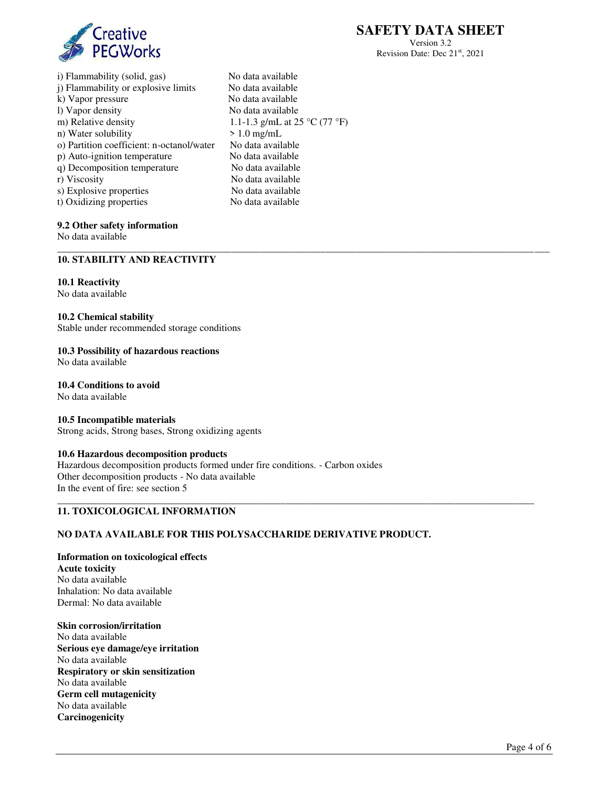

Version 3.2 Revision Date: Dec 21<sup>st</sup>, 2021

i) Flammability (solid, gas) No data available j) Flammability or explosive limits No data available<br>k) Vapor pressure No data available k) Vapor pressure l) Vapor density No data available m) Relative density 1.1-1.3 g/mL at 25 °C (77 °F) <br>n) Water solubility > 1.0 mg/mL n) Water solubility o) Partition coefficient: n-octanol/water No data available p) Auto-ignition temperature No data available q) Decomposition temperature No data available r) Viscosity No data available s) Explosive properties No data available<br>t) Oxidizing properties No data available t) Oxidizing properties

\_\_\_\_\_\_\_\_\_\_\_\_\_\_\_\_\_\_\_\_\_\_\_\_\_\_\_\_\_\_\_\_\_\_\_\_\_\_\_\_\_\_\_\_\_\_\_\_\_\_\_\_\_\_\_\_\_\_\_\_\_\_\_\_\_\_\_\_\_\_\_\_\_\_\_\_\_\_\_\_\_\_\_\_\_\_\_\_\_\_\_\_\_\_\_\_\_\_\_

\_\_\_\_\_\_\_\_\_\_\_\_\_\_\_\_\_\_\_\_\_\_\_\_\_\_\_\_\_\_\_\_\_\_\_\_\_\_\_\_\_\_\_\_\_\_\_\_\_\_\_\_\_\_\_\_\_\_\_\_\_\_\_\_\_\_\_\_\_\_\_\_\_\_\_\_\_\_\_\_\_\_\_\_\_\_\_\_\_\_\_\_\_\_\_\_

# **9.2 Other safety information**

No data available

# **10. STABILITY AND REACTIVITY**

#### **10.1 Reactivity**

No data available

#### **10.2 Chemical stability**

Stable under recommended storage conditions

# **10.3 Possibility of hazardous reactions**

No data available

# **10.4 Conditions to avoid**

No data available

#### **10.5 Incompatible materials**

Strong acids, Strong bases, Strong oxidizing agents

## **10.6 Hazardous decomposition products**

Hazardous decomposition products formed under fire conditions. - Carbon oxides Other decomposition products - No data available In the event of fire: see section 5

## **11. TOXICOLOGICAL INFORMATION**

# **NO DATA AVAILABLE FOR THIS POLYSACCHARIDE DERIVATIVE PRODUCT.**

# **Information on toxicological effects**

**Acute toxicity**  No data available Inhalation: No data available Dermal: No data available

# **Skin corrosion/irritation**

No data available **Serious eye damage/eye irritation** No data available **Respiratory or skin sensitization**  No data available **Germ cell mutagenicity**  No data available **Carcinogenicity**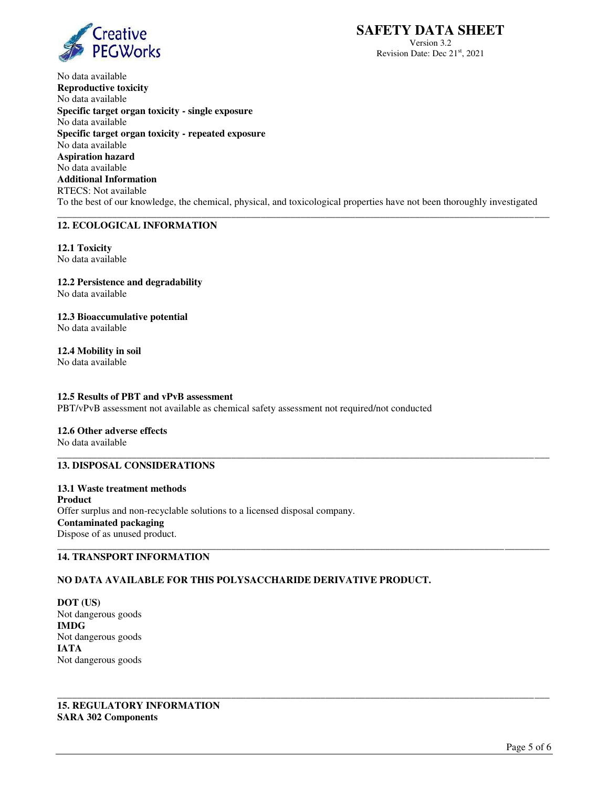

Version 3.2 Revision Date: Dec 21<sup>st</sup>, 2021

No data available **Reproductive toxicity** No data available **Specific target organ toxicity - single exposure** No data available **Specific target organ toxicity - repeated exposure**  No data available **Aspiration hazard** No data available **Additional Information**  RTECS: Not available To the best of our knowledge, the chemical, physical, and toxicological properties have not been thoroughly investigated \_\_\_\_\_\_\_\_\_\_\_\_\_\_\_\_\_\_\_\_\_\_\_\_\_\_\_\_\_\_\_\_\_\_\_\_\_\_\_\_\_\_\_\_\_\_\_\_\_\_\_\_\_\_\_\_\_\_\_\_\_\_\_\_\_\_\_\_\_\_\_\_\_\_\_\_\_\_\_\_\_\_\_\_\_\_\_\_\_\_\_\_\_\_\_\_\_\_\_

# **12. ECOLOGICAL INFORMATION**

**12.1 Toxicity**  No data available

**12.2 Persistence and degradability**  No data available

**12.3 Bioaccumulative potential**  No data available

**12.4 Mobility in soil**  No data available

# **12.5 Results of PBT and vPvB assessment**

PBT/vPvB assessment not available as chemical safety assessment not required/not conducted

#### **12.6 Other adverse effects**  No data available

#### \_\_\_\_\_\_\_\_\_\_\_\_\_\_\_\_\_\_\_\_\_\_\_\_\_\_\_\_\_\_\_\_\_\_\_\_\_\_\_\_\_\_\_\_\_\_\_\_\_\_\_\_\_\_\_\_\_\_\_\_\_\_\_\_\_\_\_\_\_\_\_\_\_\_\_\_\_\_\_\_\_\_\_\_\_\_\_\_\_\_\_\_\_\_\_\_\_\_\_ **13. DISPOSAL CONSIDERATIONS**

**13.1 Waste treatment methods Product**  Offer surplus and non-recyclable solutions to a licensed disposal company. **Contaminated packaging**  Dispose of as unused product. \_\_\_\_\_\_\_\_\_\_\_\_\_\_\_\_\_\_\_\_\_\_\_\_\_\_\_\_\_\_\_\_\_\_\_\_\_\_\_\_\_\_\_\_\_\_\_\_\_\_\_\_\_\_\_\_\_\_\_\_\_\_\_\_\_\_\_\_\_\_\_\_\_\_\_\_\_\_\_\_\_\_\_\_\_\_\_\_\_\_\_\_\_\_\_\_\_\_\_

# **14. TRANSPORT INFORMATION**

# **NO DATA AVAILABLE FOR THIS POLYSACCHARIDE DERIVATIVE PRODUCT.**

\_\_\_\_\_\_\_\_\_\_\_\_\_\_\_\_\_\_\_\_\_\_\_\_\_\_\_\_\_\_\_\_\_\_\_\_\_\_\_\_\_\_\_\_\_\_\_\_\_\_\_\_\_\_\_\_\_\_\_\_\_\_\_\_\_\_\_\_\_\_\_\_\_\_\_\_\_\_\_\_\_\_\_\_\_\_\_\_\_\_\_\_\_\_\_\_\_\_\_

**DOT (US)**  Not dangerous goods **IMDG**  Not dangerous goods **IATA**  Not dangerous goods

**15. REGULATORY INFORMATION SARA 302 Components**